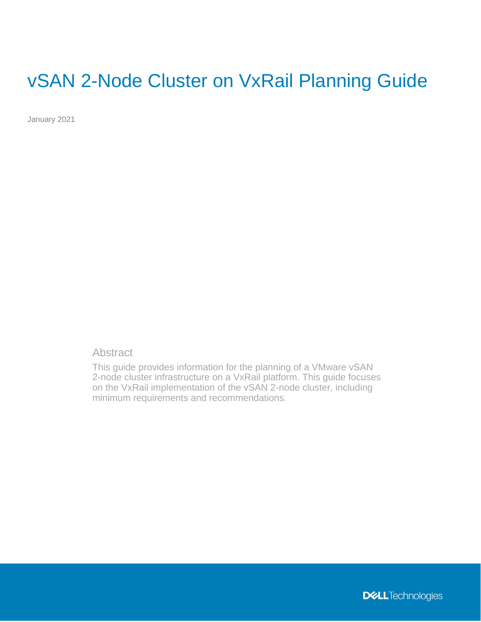# vSAN 2-Node Cluster on VxRail Planning Guide

January 2021

## **Abstract**

This guide provides information for the planning of a VMware vSAN 2-node cluster infrastructure on a VxRail platform. This guide focuses on the VxRail implementation of the vSAN 2-node cluster, including minimum requirements and recommendations.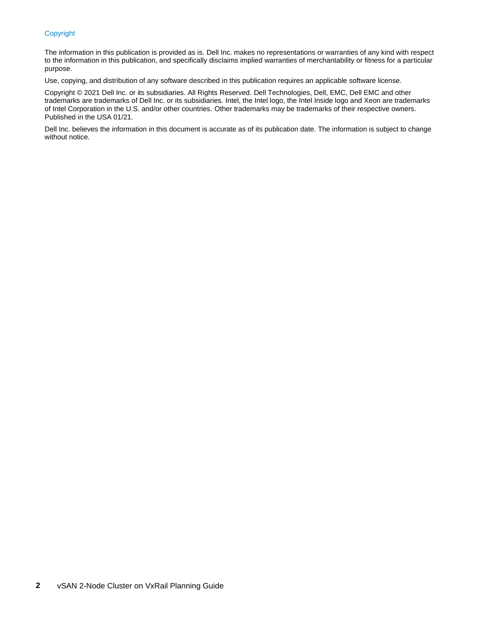#### Copyright

The information in this publication is provided as is. Dell Inc. makes no representations or warranties of any kind with respect to the information in this publication, and specifically disclaims implied warranties of merchantability or fitness for a particular purpose.

Use, copying, and distribution of any software described in this publication requires an applicable software license.

Copyright © 2021 Dell Inc. or its subsidiaries. All Rights Reserved. Dell Technologies, Dell, EMC, Dell EMC and other trademarks are trademarks of Dell Inc. or its subsidiaries. Intel, the Intel logo, the Intel Inside logo and Xeon are trademarks of Intel Corporation in the U.S. and/or other countries. Other trademarks may be trademarks of their respective owners. Published in the USA 01/21.

Dell Inc. believes the information in this document is accurate as of its publication date. The information is subject to change without notice.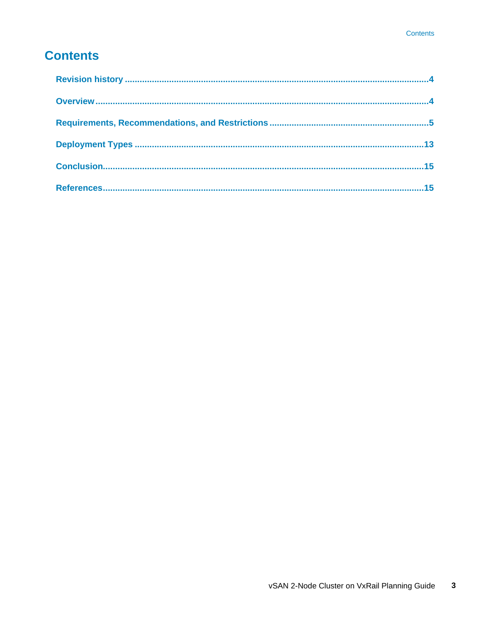## **Contents**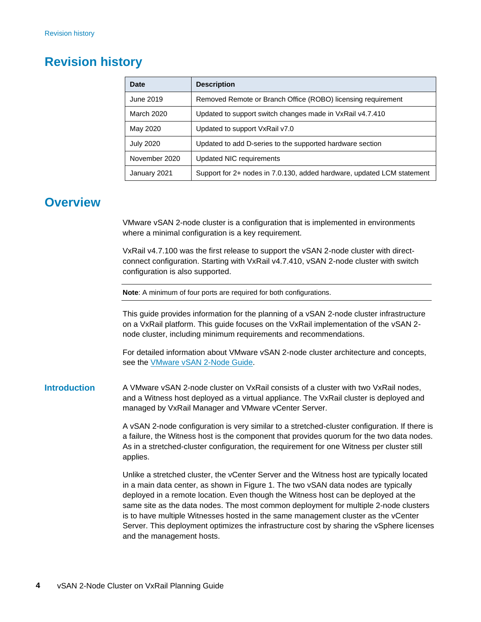## <span id="page-3-0"></span>**Revision history**

| Date             | <b>Description</b>                                                     |
|------------------|------------------------------------------------------------------------|
| June 2019        | Removed Remote or Branch Office (ROBO) licensing requirement           |
| March 2020       | Updated to support switch changes made in VxRail v4.7.410              |
| May 2020         | Updated to support VxRail v7.0                                         |
| <b>July 2020</b> | Updated to add D-series to the supported hardware section              |
| November 2020    | <b>Updated NIC requirements</b>                                        |
| January 2021     | Support for 2+ nodes in 7.0.130, added hardware, updated LCM statement |

## <span id="page-3-1"></span>**Overview**

VMware vSAN 2-node cluster is a configuration that is implemented in environments where a minimal configuration is a key requirement.

VxRail v4.7.100 was the first release to support the vSAN 2-node cluster with directconnect configuration. Starting with VxRail v4.7.410, vSAN 2-node cluster with switch configuration is also supported.

**Note**: A minimum of four ports are required for both configurations.

This guide provides information for the planning of a vSAN 2-node cluster infrastructure on a VxRail platform. This guide focuses on the VxRail implementation of the vSAN 2 node cluster, including minimum requirements and recommendations.

For detailed information about VMware vSAN 2-node cluster architecture and concepts, see the **VMware vSAN 2-Node Guide**.

A VMware vSAN 2-node cluster on VxRail consists of a cluster with two VxRail nodes, and a Witness host deployed as a virtual appliance. The VxRail cluster is deployed and managed by VxRail Manager and VMware vCenter Server. **Introduction**

> A vSAN 2-node configuration is very similar to a stretched-cluster configuration. If there is a failure, the Witness host is the component that provides quorum for the two data nodes. As in a stretched-cluster configuration, the requirement for one Witness per cluster still applies.

> Unlike a stretched cluster, the vCenter Server and the Witness host are typically located in a main data center, as shown in Figure 1. The two vSAN data nodes are typically deployed in a remote location. Even though the Witness host can be deployed at the same site as the data nodes. The most common deployment for multiple 2-node clusters is to have multiple Witnesses hosted in the same management cluster as the vCenter Server. This deployment optimizes the infrastructure cost by sharing the vSphere licenses and the management hosts.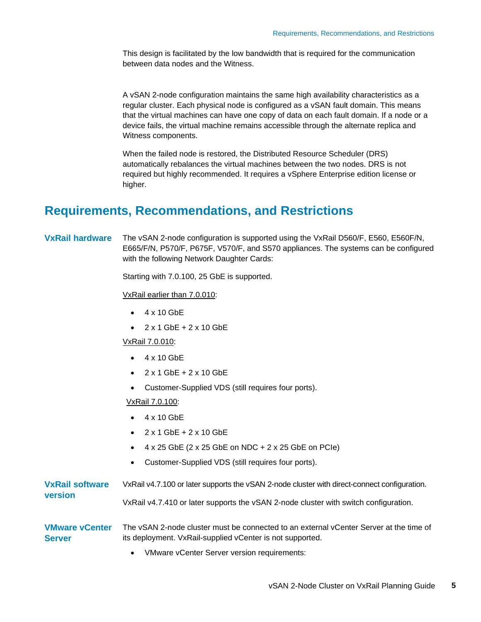This design is facilitated by the low bandwidth that is required for the communication between data nodes and the Witness.

A vSAN 2-node configuration maintains the same high availability characteristics as a regular cluster. Each physical node is configured as a vSAN fault domain. This means that the virtual machines can have one copy of data on each fault domain. If a node or a device fails, the virtual machine remains accessible through the alternate replica and Witness components.

When the failed node is restored, the Distributed Resource Scheduler (DRS) automatically rebalances the virtual machines between the two nodes. DRS is not required but highly recommended. It requires a vSphere Enterprise edition license or higher.

## <span id="page-4-0"></span>**Requirements, Recommendations, and Restrictions**

#### **VxRail hardware**

The vSAN 2-node configuration is supported using the VxRail D560/F, E560, E560F/N, E665/F/N, P570/F, P675F, V570/F, and S570 appliances. The systems can be configured with the following Network Daughter Cards:

Starting with 7.0.100, 25 GbE is supported.

VxRail earlier than 7.0.010:

- 4 x 10 GbE
- $\bullet$  2 x 1 GbE + 2 x 10 GbE

VxRail 7.0.010:

- 4 x 10 GbE
- 2 x 1 GbE + 2 x 10 GbE
- Customer-Supplied VDS (still requires four ports).

VxRail 7.0.100:

- 4 x 10 GbE
- 2 x 1 GbE + 2 x 10 GbE
- 4 x 25 GbE (2 x 25 GbE on NDC + 2 x 25 GbE on PCIe)
- Customer-Supplied VDS (still requires four ports).

|                                        | $\mathcal{M}$ become a $\Omega$ and an $\Omega$ and an expected in a subsequently of                                                                |
|----------------------------------------|-----------------------------------------------------------------------------------------------------------------------------------------------------|
| <b>VMware vCenter</b><br><b>Server</b> | The vSAN 2-node cluster must be connected to an external vCenter Server at the time of<br>its deployment. VxRail-supplied vCenter is not supported. |
| version                                | VxRail v4.7.410 or later supports the vSAN 2-node cluster with switch configuration.                                                                |
| <b>VxRail software</b>                 | VxRail v4.7.100 or later supports the vSAN 2-node cluster with direct-connect configuration.                                                        |

• VMware vCenter Server version requirements: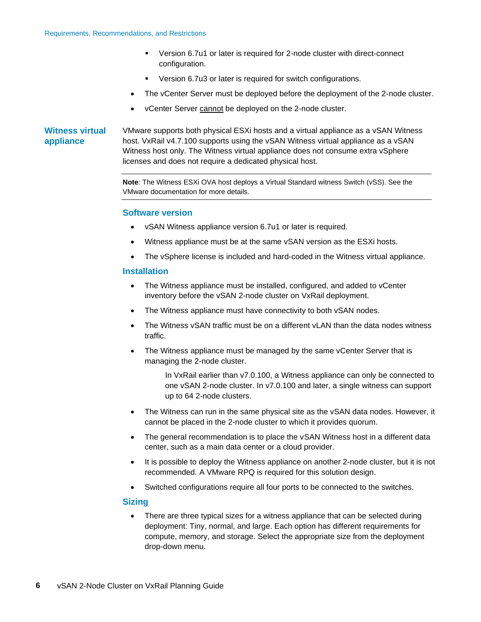- Version 6.7u1 or later is required for 2-node cluster with direct-connect configuration.
- Version 6.7u3 or later is required for switch configurations.
- The vCenter Server must be deployed before the deployment of the 2-node cluster.
- vCenter Server cannot be deployed on the 2-node cluster.

### **Witness virtual appliance**

VMware supports both physical ESXi hosts and a virtual appliance as a vSAN Witness host. VxRail v4.7.100 supports using the vSAN Witness virtual appliance as a vSAN Witness host only. The Witness virtual appliance does not consume extra vSphere licenses and does not require a dedicated physical host.

**Note**: The Witness ESXi OVA host deploys a Virtual Standard witness Switch (vSS). See the VMware documentation for more details.

#### **Software version**

- vSAN Witness appliance version 6.7u1 or later is required.
- Witness appliance must be at the same vSAN version as the ESXi hosts.
- The vSphere license is included and hard-coded in the Witness virtual appliance.

### **Installation**

- The Witness appliance must be installed, configured, and added to vCenter inventory before the vSAN 2-node cluster on VxRail deployment.
- The Witness appliance must have connectivity to both vSAN nodes.
- The Witness vSAN traffic must be on a different vLAN than the data nodes witness traffic.
- The Witness appliance must be managed by the same vCenter Server that is managing the 2-node cluster.

In VxRail earlier than v7.0.100, a Witness appliance can only be connected to one vSAN 2-node cluster. In v7.0.100 and later, a single witness can support up to 64 2-node clusters.

- The Witness can run in the same physical site as the vSAN data nodes. However, it cannot be placed in the 2-node cluster to which it provides quorum.
- The general recommendation is to place the vSAN Witness host in a different data center, such as a main data center or a cloud provider.
- It is possible to deploy the Witness appliance on another 2-node cluster, but it is not recommended. A VMware RPQ is required for this solution design.
- Switched configurations require all four ports to be connected to the switches.

### **Sizing**

There are three typical sizes for a witness appliance that can be selected during deployment: Tiny, normal, and large. Each option has different requirements for compute, memory, and storage. Select the appropriate size from the deployment drop-down menu.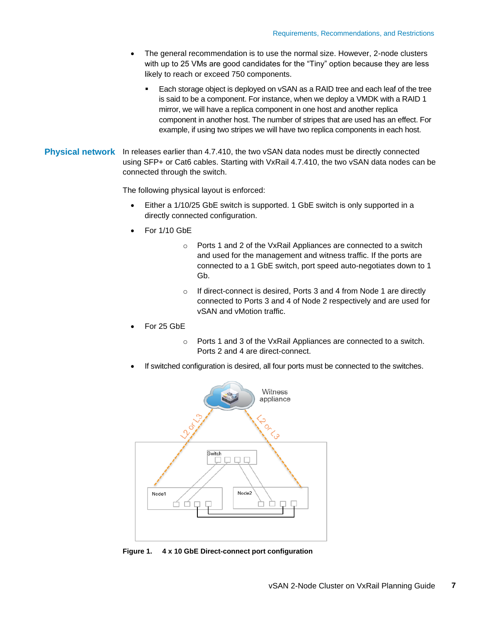- The general recommendation is to use the normal size. However, 2-node clusters with up to 25 VMs are good candidates for the "Tiny" option because they are less likely to reach or exceed 750 components.
	- Each storage object is deployed on vSAN as a RAID tree and each leaf of the tree is said to be a component. For instance, when we deploy a VMDK with a RAID 1 mirror, we will have a replica component in one host and another replica component in another host. The number of stripes that are used has an effect. For example, if using two stripes we will have two replica components in each host.
- Physical network In releases earlier than 4.7.410, the two vSAN data nodes must be directly connected using SFP+ or Cat6 cables. Starting with VxRail 4.7.410, the two vSAN data nodes can be connected through the switch.

The following physical layout is enforced:

- Either a 1/10/25 GbE switch is supported. 1 GbE switch is only supported in a directly connected configuration.
- For 1/10 GbE
	- o Ports 1 and 2 of the VxRail Appliances are connected to a switch and used for the management and witness traffic. If the ports are connected to a 1 GbE switch, port speed auto-negotiates down to 1 Gb.
	- o If direct-connect is desired, Ports 3 and 4 from Node 1 are directly connected to Ports 3 and 4 of Node 2 respectively and are used for vSAN and vMotion traffic.
- For 25 GbE
	- o Ports 1 and 3 of the VxRail Appliances are connected to a switch. Ports 2 and 4 are direct-connect.
- If switched configuration is desired, all four ports must be connected to the switches.



**Figure 1. 4 x 10 GbE Direct-connect port configuration**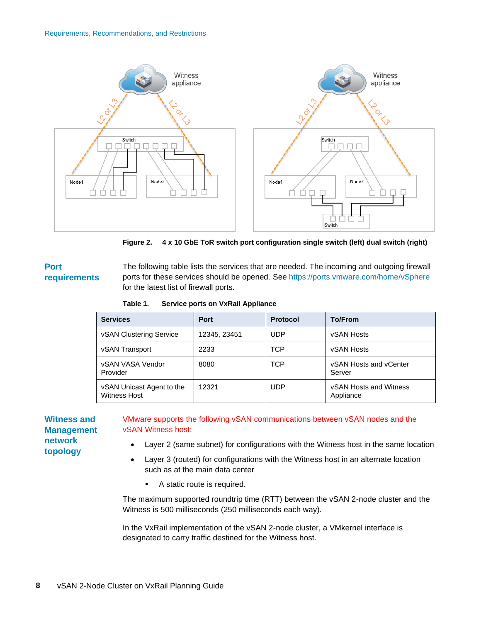

**Figure 2. 4 x 10 GbE ToR switch port configuration single switch (left) dual switch (right)** 

#### The following table lists the services that are needed. The incoming and outgoing firewall ports for these services should be opened. See<https://ports.vmware.com/home/vSphere> for the latest list of firewall ports. **Port requirements**

|  | Table 1. | <b>Service ports on VxRail Appliance</b> |
|--|----------|------------------------------------------|
|--|----------|------------------------------------------|

| <b>Services</b>                                  | Port         | <b>Protocol</b> | <b>To/From</b>                             |
|--------------------------------------------------|--------------|-----------------|--------------------------------------------|
| <b>vSAN Clustering Service</b>                   | 12345, 23451 | UDP             | vSAN Hosts                                 |
| vSAN Transport                                   | 2233         | TCP             | <b>vSAN Hosts</b>                          |
| vSAN VASA Vendor<br>Provider                     | 8080         | TCP             | vSAN Hosts and vCenter<br>Server           |
| vSAN Unicast Agent to the<br><b>Witness Host</b> | 12321        | UDP             | <b>vSAN Hosts and Witness</b><br>Appliance |

**Witness and Management network topology**

### VMware supports the following vSAN communications between vSAN nodes and the vSAN Witness host:

- Layer 2 (same subnet) for configurations with the Witness host in the same location
- Layer 3 (routed) for configurations with the Witness host in an alternate location such as at the main data center
	- A static route is required.

The maximum supported roundtrip time (RTT) between the vSAN 2-node cluster and the Witness is 500 milliseconds (250 milliseconds each way).

In the VxRail implementation of the vSAN 2-node cluster, a VMkernel interface is designated to carry traffic destined for the Witness host.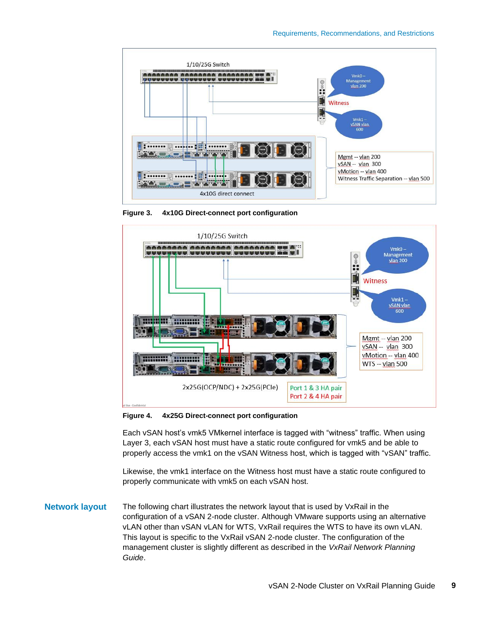

**Figure 3. 4x10G Direct-connect port configuration** 



**Figure 4. 4x25G Direct-connect port configuration**

Each vSAN host's vmk5 VMkernel interface is tagged with "witness" traffic. When using Layer 3, each vSAN host must have a static route configured for vmk5 and be able to properly access the vmk1 on the vSAN Witness host, which is tagged with "vSAN" traffic.

Likewise, the vmk1 interface on the Witness host must have a static route configured to properly communicate with vmk5 on each vSAN host.

**Network layout**

The following chart illustrates the network layout that is used by VxRail in the configuration of a vSAN 2-node cluster. Although VMware supports using an alternative vLAN other than vSAN vLAN for WTS, VxRail requires the WTS to have its own vLAN. This layout is specific to the VxRail vSAN 2-node cluster. The configuration of the management cluster is slightly different as described in the *VxRail Network Planning Guide*.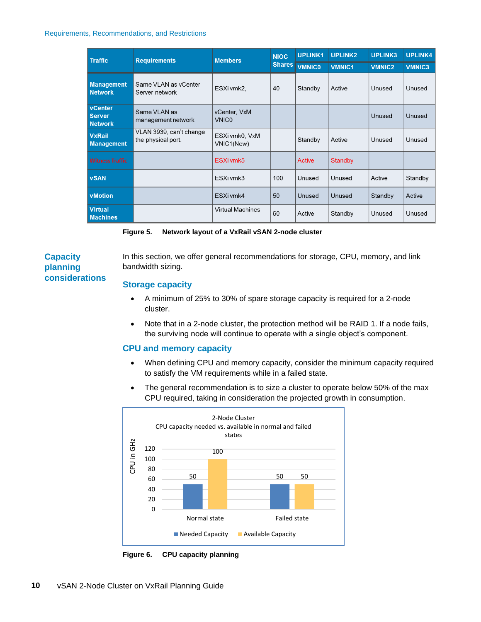#### Requirements, Recommendations, and Restrictions

| <b>Traffic</b>                                    | <b>Requirements</b><br><b>Members</b>         |                              | UPLINK1<br><b>NIOC</b> |               | <b>UPLINK2</b> | <b>UPLINK3</b> | <b>UPLINK4</b> |
|---------------------------------------------------|-----------------------------------------------|------------------------------|------------------------|---------------|----------------|----------------|----------------|
|                                                   |                                               |                              | <b>Shares</b>          | <b>VMNICO</b> | VMNIC1         | <b>VMNIC2</b>  | <b>VMNIC3</b>  |
| <b>Management</b><br><b>Network</b>               | Same VLAN as yCenter<br>Server network        | ESXi vmk2,                   | 40                     | Standby       | Active         | Unused         | Unused         |
| <b>vCenter</b><br><b>Server</b><br><b>Network</b> | Same VLAN as<br>management network            | vCenter, VxM<br><b>VNICO</b> |                        |               |                | Unused         | Unused         |
| <b>VxRail</b><br><b>Management</b>                | VLAN 3939, can't change<br>the physical port. | ESXi vmk0, VxM<br>VNIC1(New) |                        | Standby       | Active         | Unused         | Unused         |
| <b>Witness Traffic</b>                            |                                               | ESXi vmk5                    |                        | Active        | Standby        |                |                |
| <b>vSAN</b>                                       |                                               | ESXi vmk3                    | 100                    | Unused        | Unused         | Active         | Standby        |
| <b>vMotion</b>                                    |                                               | ESXi vmk4                    | 50                     | Unused        | Unused         | Standby        | Active         |
| <b>Virtual</b><br><b>Machines</b>                 |                                               | <b>Virtual Machines</b>      | 60                     | Active        | Standby        | Unused         | Unused         |

| Figure 5. | Network layout of a VxRail vSAN 2-node cluster |  |  |
|-----------|------------------------------------------------|--|--|
|           |                                                |  |  |

## **Capacity planning considerations**

In this section, we offer general recommendations for storage, CPU, memory, and link bandwidth sizing.

### **Storage capacity**

- A minimum of 25% to 30% of spare storage capacity is required for a 2-node cluster.
- Note that in a 2-node cluster, the protection method will be RAID 1. If a node fails, the surviving node will continue to operate with a single object's component.

### **CPU and memory capacity**

- When defining CPU and memory capacity, consider the minimum capacity required to satisfy the VM requirements while in a failed state.
- The general recommendation is to size a cluster to operate below 50% of the max CPU required, taking in consideration the projected growth in consumption.



**Figure 6. CPU capacity planning**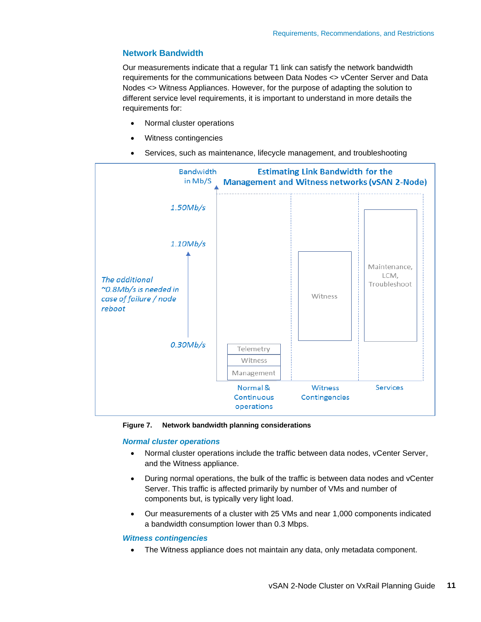### **Network Bandwidth**

Our measurements indicate that a regular T1 link can satisfy the network bandwidth requirements for the communications between Data Nodes <> vCenter Server and Data Nodes <> Witness Appliances. However, for the purpose of adapting the solution to different service level requirements, it is important to understand in more details the requirements for:

- Normal cluster operations
- Witness contingencies
- Services, such as maintenance, lifecycle management, and troubleshooting



**Figure 7. Network bandwidth planning considerations**

#### *Normal cluster operations*

- Normal cluster operations include the traffic between data nodes, vCenter Server, and the Witness appliance.
- During normal operations, the bulk of the traffic is between data nodes and vCenter Server. This traffic is affected primarily by number of VMs and number of components but, is typically very light load.
- Our measurements of a cluster with 25 VMs and near 1,000 components indicated a bandwidth consumption lower than 0.3 Mbps.

#### *Witness contingencies*

The Witness appliance does not maintain any data, only metadata component.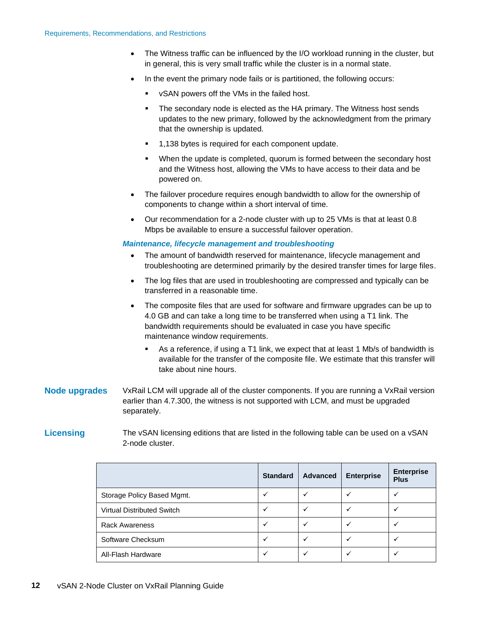- The Witness traffic can be influenced by the I/O workload running in the cluster, but in general, this is very small traffic while the cluster is in a normal state.
- In the event the primary node fails or is partitioned, the following occurs:
	- vSAN powers off the VMs in the failed host.
	- The secondary node is elected as the HA primary. The Witness host sends updates to the new primary, followed by the acknowledgment from the primary that the ownership is updated.
	- 1,138 bytes is required for each component update.
	- When the update is completed, quorum is formed between the secondary host and the Witness host, allowing the VMs to have access to their data and be powered on.
- The failover procedure requires enough bandwidth to allow for the ownership of components to change within a short interval of time.
- Our recommendation for a 2-node cluster with up to 25 VMs is that at least 0.8 Mbps be available to ensure a successful failover operation.

#### *Maintenance, lifecycle management and troubleshooting*

- The amount of bandwidth reserved for maintenance, lifecycle management and troubleshooting are determined primarily by the desired transfer times for large files.
- The log files that are used in troubleshooting are compressed and typically can be transferred in a reasonable time.
- The composite files that are used for software and firmware upgrades can be up to 4.0 GB and can take a long time to be transferred when using a T1 link. The bandwidth requirements should be evaluated in case you have specific maintenance window requirements.
	- As a reference, if using a T1 link, we expect that at least 1 Mb/s of bandwidth is available for the transfer of the composite file. We estimate that this transfer will take about nine hours.
- VxRail LCM will upgrade all of the cluster components. If you are running a VxRail version earlier than 4.7.300, the witness is not supported with LCM, and must be upgraded separately. **Node upgrades**

#### The vSAN licensing editions that are listed in the following table can be used on a vSAN 2-node cluster. **Licensing**

|                                   | <b>Standard</b> | <b>Advanced</b> | <b>Enterprise</b> | <b>Enterprise</b><br><b>Plus</b> |
|-----------------------------------|-----------------|-----------------|-------------------|----------------------------------|
| Storage Policy Based Mgmt.        |                 |                 |                   |                                  |
| <b>Virtual Distributed Switch</b> |                 |                 |                   |                                  |
| <b>Rack Awareness</b>             |                 |                 |                   |                                  |
| Software Checksum                 |                 |                 |                   |                                  |
| All-Flash Hardware                |                 |                 |                   |                                  |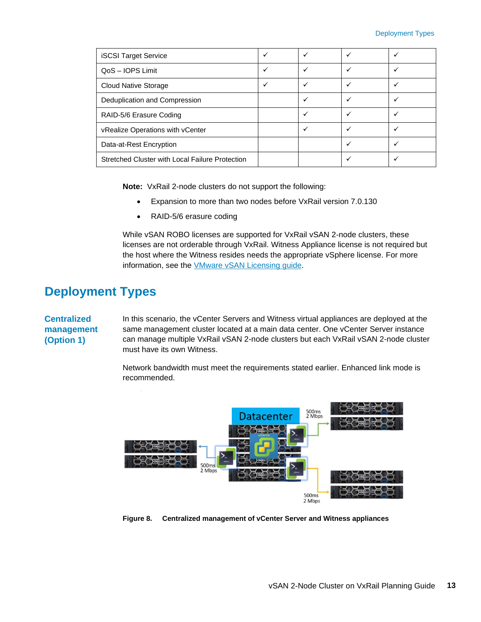| <b>iSCSI Target Service</b>                     |  |  |
|-------------------------------------------------|--|--|
| QoS - IOPS Limit                                |  |  |
| Cloud Native Storage                            |  |  |
| Deduplication and Compression                   |  |  |
| RAID-5/6 Erasure Coding                         |  |  |
| vRealize Operations with vCenter                |  |  |
| Data-at-Rest Encryption                         |  |  |
| Stretched Cluster with Local Failure Protection |  |  |

**Note:** VxRail 2-node clusters do not support the following:

- Expansion to more than two nodes before VxRail version 7.0.130
- RAID-5/6 erasure coding

While vSAN ROBO licenses are supported for VxRail vSAN 2-node clusters, these licenses are not orderable through VxRail. Witness Appliance license is not required but the host where the Witness resides needs the appropriate vSphere license. For more information, see the [VMware vSAN Licensing guide.](https://www.vmware.com/content/dam/digitalmarketing/vmware/en/pdf/products/vsan/vmware-vsan-67-licensing-guide.pdf)

## <span id="page-12-0"></span>**Deployment Types**

## **Centralized management (Option 1)**

In this scenario, the vCenter Servers and Witness virtual appliances are deployed at the same management cluster located at a main data center. One vCenter Server instance can manage multiple VxRail vSAN 2-node clusters but each VxRail vSAN 2-node cluster must have its own Witness.

Network bandwidth must meet the requirements stated earlier. Enhanced link mode is recommended.



**Figure 8. Centralized management of vCenter Server and Witness appliances**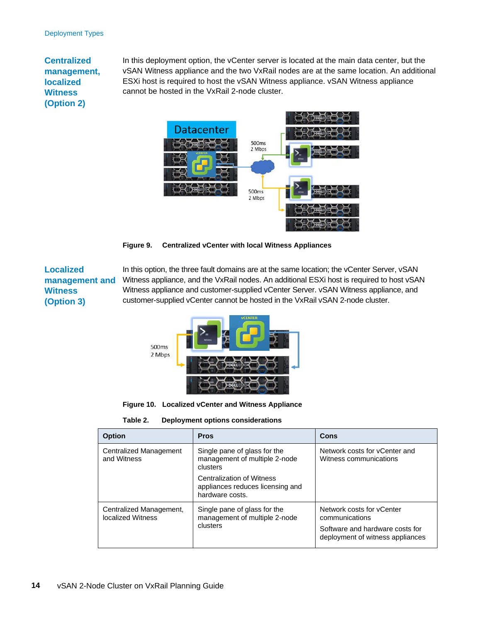## **Centralized management, localized Witness (Option 2)**

In this deployment option, the vCenter server is located at the main data center, but the vSAN Witness appliance and the two VxRail nodes are at the same location. An additional ESXi host is required to host the vSAN Witness appliance. vSAN Witness appliance cannot be hosted in the VxRail 2-node cluster.



**Figure 9. Centralized vCenter with local Witness Appliances**

### **Localized management and Witness (Option 3)**

In this option, the three fault domains are at the same location; the vCenter Server, vSAN Witness appliance, and the VxRail nodes. An additional ESXi host is required to host vSAN Witness appliance and customer-supplied vCenter Server. vSAN Witness appliance, and customer-supplied vCenter cannot be hosted in the VxRail vSAN 2-node cluster.



**Figure 10. Localized vCenter and Witness Appliance**

**Table 2. Deployment options considerations**

| <b>Option</b>                                       | <b>Pros</b>                                                                             | Cons                                                                |
|-----------------------------------------------------|-----------------------------------------------------------------------------------------|---------------------------------------------------------------------|
| Centralized Management<br>and Witness               | Single pane of glass for the<br>management of multiple 2-node<br>clusters               | Network costs for yCenter and<br>Witness communications             |
|                                                     | <b>Centralization of Witness</b><br>appliances reduces licensing and<br>hardware costs. |                                                                     |
| Centralized Management,<br><b>Iocalized Witness</b> | Single pane of glass for the<br>management of multiple 2-node                           | Network costs for yCenter<br>communications                         |
|                                                     | clusters                                                                                | Software and hardware costs for<br>deployment of witness appliances |